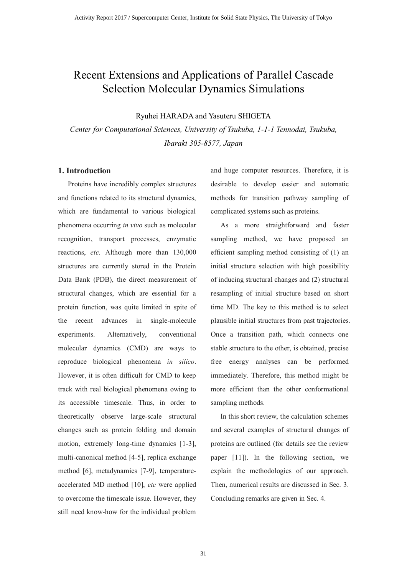# Recent Extensions and Applications of Parallel Cascade Selection Molecular Dynamics Simulations

Ryuhei HARADA and Yasuteru SHIGETA

*Center for Computational Sciences, University of Tsukuba, 1-1-1 Tennodai, Tsukuba, Ibaraki 305-8577, Japan*

## **1. Introduction**

Proteins have incredibly complex structures and functions related to its structural dynamics, which are fundamental to various biological phenomena occurring *in vivo* such as molecular recognition, transport processes, enzymatic reactions, *etc*. Although more than 130,000 structures are currently stored in the Protein Data Bank (PDB), the direct measurement of structural changes, which are essential for a protein function, was quite limited in spite of the recent advances in single-molecule experiments. Alternatively, conventional molecular dynamics (CMD) are ways to reproduce biological phenomena *in silico*. However, it is often difficult for CMD to keep track with real biological phenomena owing to its accessible timescale. Thus, in order to theoretically observe large-scale structural changes such as protein folding and domain motion, extremely long-time dynamics [1-3], multi-canonical method [4-5], replica exchange method [6], metadynamics [7-9], temperatureaccelerated MD method [10], *etc* were applied to overcome the timescale issue. However, they still need know-how for the individual problem

and huge computer resources. Therefore, it is desirable to develop easier and automatic methods for transition pathway sampling of complicated systems such as proteins.

As a more straightforward and faster sampling method, we have proposed an efficient sampling method consisting of (1) an initial structure selection with high possibility of inducing structural changes and (2) structural resampling of initial structure based on short time MD. The key to this method is to select plausible initial structures from past trajectories. Once a transition path, which connects one stable structure to the other, is obtained, precise free energy analyses can be performed immediately. Therefore, this method might be more efficient than the other conformational sampling methods.

In this short review, the calculation schemes and several examples of structural changes of proteins are outlined (for details see the review paper [11]). In the following section, we explain the methodologies of our approach. Then, numerical results are discussed in Sec. 3. Concluding remarks are given in Sec. 4.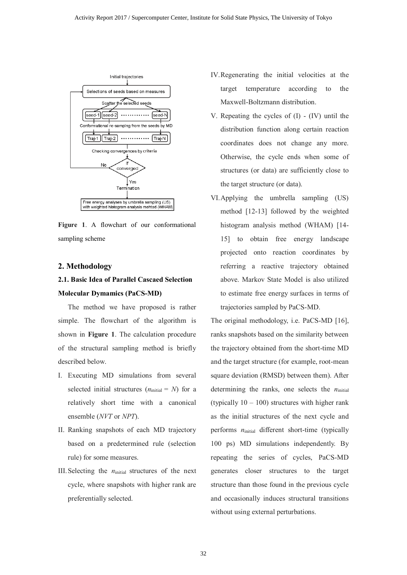

**Figure 1**. A flowchart of our conformational sampling scheme

### **2. Methodology**

# **2.1. Basic Idea of Parallel Cascaed Selection Molecular Dymamics (PaCS-MD)**

The method we have proposed is rather simple. The flowchart of the algorithm is shown in **Figure 1**. The calculation procedure of the structural sampling method is briefly described below.

- I. Executing MD simulations from several selected initial structures  $(n<sub>initial</sub> = N)$  for a relatively short time with a canonical ensemble (*NVT* or *NPT*).
- II. Ranking snapshots of each MD trajectory based on a predetermined rule (selection rule) for some measures.
- III. Selecting the *n*<sub>initial</sub> structures of the next</sub> cycle, where snapshots with higher rank are preferentially selected.
- IV.Regenerating the initial velocities at the target temperature according to the Maxwell-Boltzmann distribution.
- V. Repeating the cycles of (I) (IV) until the distribution function along certain reaction coordinates does not change any more. Otherwise, the cycle ends when some of structures (or data) are sufficiently close to the target structure (or data).
- VI.Applying the umbrella sampling (US) method [12-13] followed by the weighted histogram analysis method (WHAM) [14- 15] to obtain free energy landscape projected onto reaction coordinates by referring a reactive trajectory obtained above. Markov State Model is also utilized to estimate free energy surfaces in terms of trajectories sampled by PaCS-MD.

The original methodology, i.e. PaCS-MD [16], ranks snapshots based on the similarity between the trajectory obtained from the short-time MD and the target structure (for example, root-mean square deviation (RMSD) between them). After determining the ranks, one selects the  $n_{initial}$ (typically  $10 - 100$ ) structures with higher rank as the initial structures of the next cycle and performs  $n_{initial}$  different short-time (typically 100 ps) MD simulations independently. By repeating the series of cycles, PaCS-MD generates closer structures to the target structure than those found in the previous cycle and occasionally induces structural transitions without using external perturbations.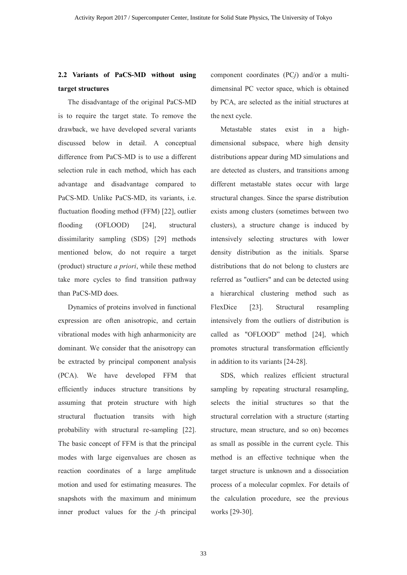## **2.2 Variants of PaCS-MD without using target structures**

The disadvantage of the original PaCS-MD is to require the target state. To remove the drawback, we have developed several variants discussed below in detail. A conceptual difference from PaCS-MD is to use a different selection rule in each method, which has each advantage and disadvantage compared to PaCS-MD. Unlike PaCS-MD, its variants, i.e. fluctuation flooding method (FFM) [22], outlier flooding (OFLOOD) [24], structural dissimilarity sampling (SDS) [29] methods mentioned below, do not require a target (product) structure *a priori*, while these method take more cycles to find transition pathway than PaCS-MD does.

Dynamics of proteins involved in functional expression are often anisotropic, and certain vibrational modes with high anharmonicity are dominant. We consider that the anisotropy can be extracted by principal component analysis (PCA). We have developed FFM that efficiently induces structure transitions by assuming that protein structure with high structural fluctuation transits with high probability with structural re-sampling [22]. The basic concept of FFM is that the principal modes with large eigenvalues are chosen as reaction coordinates of a large amplitude motion and used for estimating measures. The snapshots with the maximum and minimum inner product values for the *j*-th principal component coordinates (PC*j*) and/or a multidimensinal PC vector space, which is obtained by PCA, are selected as the initial structures at the next cycle.

Metastable states exist in a highdimensional subspace, where high density distributions appear during MD simulations and are detected as clusters, and transitions among different metastable states occur with large structural changes. Since the sparse distribution exists among clusters (sometimes between two clusters), a structure change is induced by intensively selecting structures with lower density distribution as the initials. Sparse distributions that do not belong to clusters are referred as "outliers" and can be detected using a hierarchical clustering method such as FlexDice [23]. Structural resampling intensively from the outliers of distribution is called as "OFLOOD" method [24], which promotes structural transformation efficiently in addition to its variants [24-28].

SDS, which realizes efficient structural sampling by repeating structural resampling, selects the initial structures so that the structural correlation with a structure (starting structure, mean structure, and so on) becomes as small as possible in the current cycle. This method is an effective technique when the target structure is unknown and a dissociation process of a molecular copmlex. For details of the calculation procedure, see the previous works [29-30].

33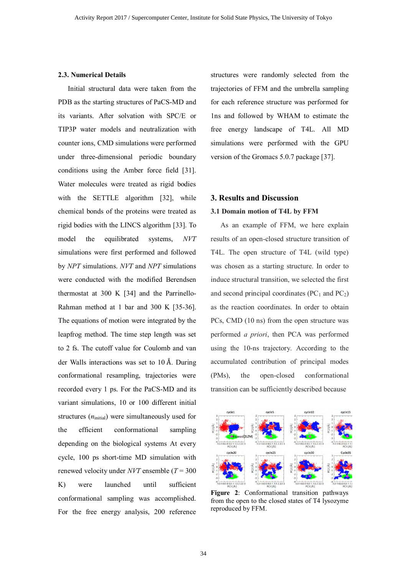#### **2.3. Numerical Details**

Initial structural data were taken from the PDB as the starting structures of PaCS-MD and its variants. After solvation with SPC/E or TIP3P water models and neutralization with counter ions, CMD simulations were performed under three-dimensional periodic boundary conditions using the Amber force field [31]. Water molecules were treated as rigid bodies with the SETTLE algorithm [32], while chemical bonds of the proteins were treated as rigid bodies with the LINCS algorithm [33]. To model the equilibrated systems, *NVT* simulations were first performed and followed by *NPT* simulations. *NVT* and *NPT* simulations were conducted with the modified Berendsen thermostat at 300 K [34] and the Parrinello-Rahman method at 1 bar and 300 K [35-36]. The equations of motion were integrated by the leapfrog method. The time step length was set to 2 fs. The cutoff value for Coulomb and van der Walls interactions was set to 10 Å. During conformational resampling, trajectories were recorded every 1 ps. For the PaCS-MD and its variant simulations, 10 or 100 different initial structures  $(n<sub>initial</sub>)$  were simultaneously used for the efficient conformational sampling depending on the biological systems At every cycle, 100 ps short-time MD simulation with renewed velocity under *NVT* ensemble (*T* = 300 K) were launched until sufficient conformational sampling was accomplished. For the free energy analysis, 200 reference

structures were randomly selected from the trajectories of FFM and the umbrella sampling for each reference structure was performed for 1ns and followed by WHAM to estimate the free energy landscape of T4L. All MD simulations were performed with the GPU version of the Gromacs 5.0.7 package [37].

### **3. Results and Discussion**

#### **3.1 Domain motion of T4L by FFM**

As an example of FFM, we here explain results of an open-closed structure transition of T4L. The open structure of T4L (wild type) was chosen as a starting structure. In order to induce structural transition, we selected the first and second principal coordinates  $(PC_1$  and  $PC_2)$ as the reaction coordinates. In order to obtain PCs, CMD (10 ns) from the open structure was performed *a priori*, then PCA was performed using the 10-ns trajectory. According to the accumulated contribution of principal modes (PMs), the open-closed conformational transition can be sufficiently described because



**Figure 2**: Conformational transition pathways from the open to the closed states of T4 lysozyme reproduced by FFM.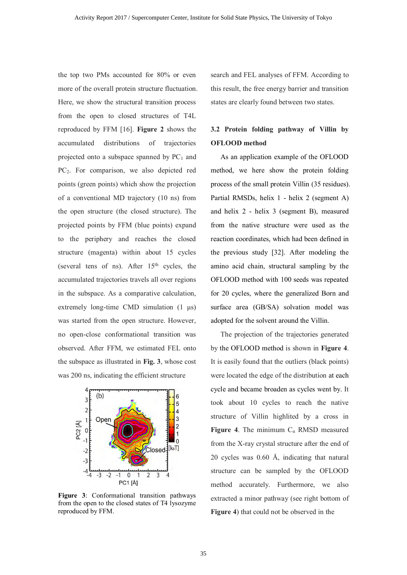the top two PMs accounted for 80% or even more of the overall protein structure fluctuation. Here, we show the structural transition process from the open to closed structures of T4L reproduced by FFM [16]. **Figure 2** shows the accumulated distributions of trajectories projected onto a subspace spanned by  $PC<sub>1</sub>$  and PC<sub>2</sub>. For comparison, we also depicted red points (green points) which show the projection of a conventional MD trajectory (10 ns) from the open structure (the closed structure). The projected points by FFM (blue points) expand to the periphery and reaches the closed structure (magenta) within about 15 cycles (several tens of ns). After  $15<sup>th</sup>$  cycles, the accumulated trajectories travels all over regions in the subspace. As a comparative calculation, extremely long-time CMD simulation (1 μs) was started from the open structure. However, no open-close conformational transition was observed. After FFM, we estimated FEL onto the subspace as illustrated in **Fig. 3**, whose cost was 200 ns, indicating the efficient structure



**Figure 3**: Conformational transition pathways from the open to the closed states of T4 lysozyme reproduced by FFM.

search and FEL analyses of FFM. According to this result, the free energy barrier and transition states are clearly found between two states.

## **3.2 Protein folding pathway of Villin by OFLOOD method**

As an application example of the OFLOOD method, we here show the protein folding process of the small protein Villin (35 residues). Partial RMSDs, helix 1 - helix 2 (segment A) and helix 2 - helix 3 (segment B), measured from the native structure were used as the reaction coordinates, which had been defined in the previous study [32]. After modeling the amino acid chain, structural sampling by the OFLOOD method with 100 seeds was repeated for 20 cycles, where the generalized Born and surface area (GB/SA) solvation model was adopted for the solvent around the Villin.

The projection of the trajectories generated by the OFLOOD method is shown in **Figure 4**. It is easily found that the outliers (black points) were located the edge of the distribution at each cycle and became broaden as cycles went by. It took about 10 cycles to reach the native structure of Villin highlited by a cross in **Figure 4.** The minimum  $C_a$  RMSD measured from the X-ray crystal structure after the end of 20 cycles was 0.60 Å, indicating that natural structure can be sampled by the OFLOOD method accurately. Furthermore, we also extracted a minor pathway (see right bottom of **Figure 4**) that could not be observed in the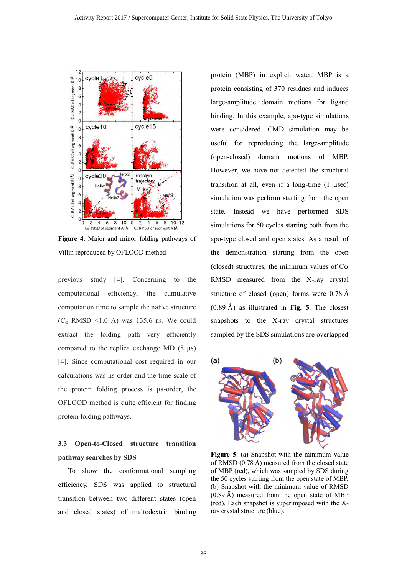

**Figure 4**. Major and minor folding pathways of Villin reproduced by OFLOOD method

previous study [4]. Concerning to the computational efficiency, the cumulative computation time to sample the native structure  $(C_{\alpha}$  RMSD <1.0 Å) was 135.6 ns. We could extract the folding path very efficiently compared to the replica exchange MD (8 μs) [4]. Since computational cost required in our calculations was ns-order and the time-scale of the protein folding process is μs-order, the OFLOOD method is quite efficient for finding protein folding pathways.

## **3.3 Open-to-Closed structure transition pathway searches by SDS**

 To show the conformational sampling efficiency, SDS was applied to structural transition between two different states (open and closed states) of maltodextrin binding protein (MBP) in explicit water. MBP is a protein consisting of 370 residues and induces large-amplitude domain motions for ligand binding. In this example, apo-type simulations were considered. CMD simulation may be useful for reproducing the large-amplitude (open-closed) domain motions of MBP. However, we have not detected the structural transition at all, even if a long-time  $(1 \text{ } \mu \text{sec})$ simulation was perform starting from the open state. Instead we have performed SDS simulations for 50 cycles starting both from the apo-type closed and open states. As a result of the demonstration starting from the open (closed) structures, the minimum values of  $C\alpha$ RMSD measured from the X-ray crystal structure of closed (open) forms were 0.78 Å (0.89 Å) as illustrated in **Fig. 5**. The closest snapshots to the X-ray crystal structures sampled by the SDS simulations are overlapped



**Figure 5**: (a) Snapshot with the minimum value of RMSD (0.78 Å) measured from the closed state of MBP (red), which was sampled by SDS during the 50 cycles starting from the open state of MBP. (b) Snapshot with the minimum value of RMSD  $(0.89 \text{ Å})$  measured from the open state of MBP (red). Each snapshot is superimposed with the Xray crystal structure (blue).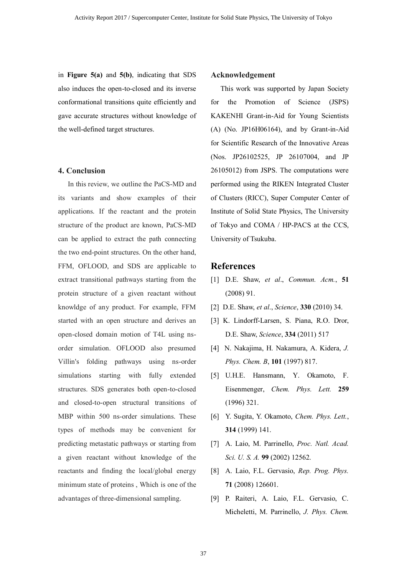in **Figure 5(a)** and **5(b)**, indicating that SDS also induces the open-to-closed and its inverse conformational transitions quite efficiently and gave accurate structures without knowledge of the well-defined target structures.

### **4. Conclusion**

In this review, we outline the PaCS-MD and its variants and show examples of their applications. If the reactant and the protein structure of the product are known, PaCS-MD can be applied to extract the path connecting the two end-point structures. On the other hand, FFM, OFLOOD, and SDS are applicable to extract transitional pathways starting from the protein structure of a given reactant without knowldge of any product. For example, FFM started with an open structure and derives an open-closed domain motion of T4L using nsorder simulation. OFLOOD also presumed Villin's folding pathways using ns-order simulations starting with fully extended structures. SDS generates both open-to-closed and closed-to-open structural transitions of MBP within 500 ns-order simulations. These types of methods may be convenient for predicting metastatic pathways or starting from a given reactant without knowledge of the reactants and finding the local/global energy minimum state of proteins , Which is one of the advantages of three-dimensional sampling.

#### **Acknowledgement**

This work was supported by Japan Society for the Promotion of Science (JSPS) KAKENHI Grant-in-Aid for Young Scientists (A) (No. JP16H06164), and by Grant-in-Aid for Scientific Research of the Innovative Areas (Nos. JP26102525, JP 26107004, and JP 26105012) from JSPS. The computations were performed using the RIKEN Integrated Cluster of Clusters (RICC), Super Computer Center of Institute of Solid State Physics, The University of Tokyo and COMA / HP-PACS at the CCS, University of Tsukuba.

## **References**

- [1] D.E. Shaw, *et al*., *Commun. Acm.*, **51** (2008) 91.
- [2] D.E. Shaw, *et al*., *Science*, **330** (2010) 34.
- [3] K. Lindorff-Larsen, S. Piana, R.O. Dror, D.E. Shaw, *Science*, **334** (2011) 517
- [4] N. Nakajima, H. Nakamura, A. Kidera, *J. Phys. Chem. B*, **101** (1997) 817.
- [5] U.H.E. Hansmann, Y. Okamoto, F. Eisenmenger, *Chem. Phys. Lett.* **259** (1996) 321.
- [6] Y. Sugita, Y. Okamoto, *Chem. Phys. Lett.*, **314** (1999) 141.
- [7] A. Laio, M. Parrinello, *Proc. Natl. Acad. Sci. U. S. A.* **99** (2002) 12562.
- [8] A. Laio, F.L. Gervasio, *Rep. Prog. Phys.* **71** (2008) 126601.
- [9] P. Raiteri, A. Laio, F.L. Gervasio, C. Micheletti, M. Parrinello, *J. Phys. Chem.*